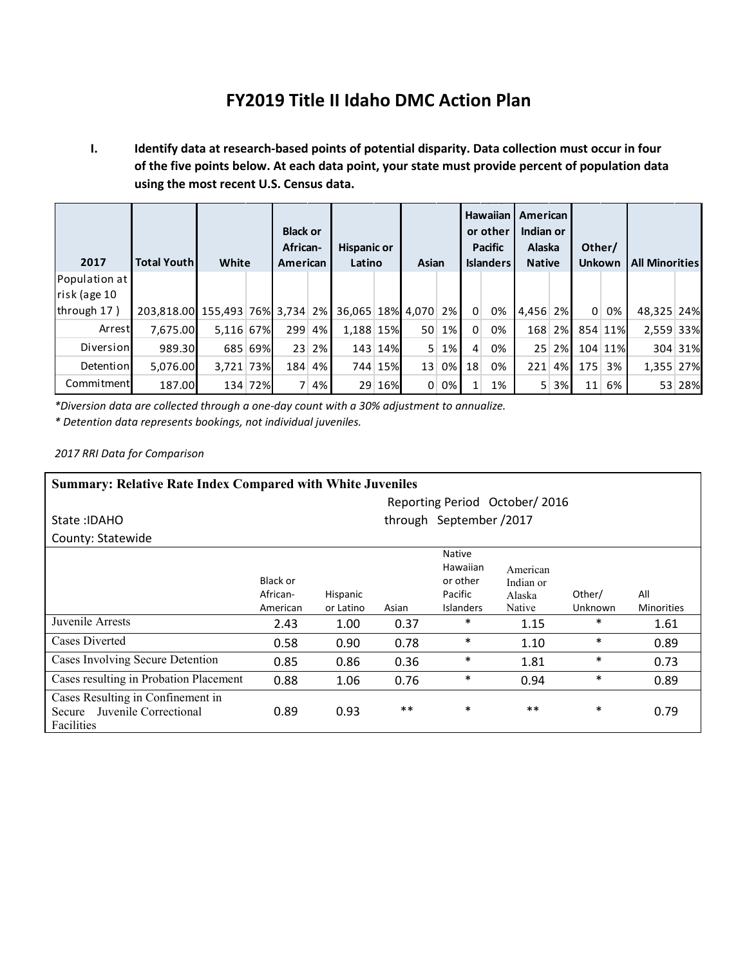# **FY2019 Title II Idaho DMC Action Plan**

**I. Identify data at research-based points of potential disparity. Data collection must occur in four of the five points below. At each data point, your state must provide percent of population data using the most recent U.S. Census data.**

| 2017          | <b>Total Youth</b>                                  | White     |         | <b>Black or</b><br>African-<br>American |    | <b>Hispanic or</b><br>Latino |         | Asian           |       | Hawaiian <b>I</b><br>or other<br><b>Pacific</b><br><b>Islanders</b> |    | American<br>Indian or<br><b>Alaska</b><br><b>Native</b> |        | Other/<br><b>Unkown</b> |         | <b>All Minorities</b> |         |
|---------------|-----------------------------------------------------|-----------|---------|-----------------------------------------|----|------------------------------|---------|-----------------|-------|---------------------------------------------------------------------|----|---------------------------------------------------------|--------|-------------------------|---------|-----------------------|---------|
| Population at |                                                     |           |         |                                         |    |                              |         |                 |       |                                                                     |    |                                                         |        |                         |         |                       |         |
| risk (age 10  |                                                     |           |         |                                         |    |                              |         |                 |       |                                                                     |    |                                                         |        |                         |         |                       |         |
| through 17)   | 203,818.00 155,493 76% 3,734 2% 36,065 18% 4,070 2% |           |         |                                         |    |                              |         |                 |       | $\overline{0}$                                                      | 0% | 4,456 2%                                                |        | $\Omega$                | 0%      | 48,325 24%            |         |
| Arrest        | 7,675.00                                            | 5,116 67% |         | 299 4%                                  |    | 1.188 15%                    |         | 50 <sup>1</sup> | $1\%$ | $\Omega$                                                            | 0% |                                                         | 168 2% |                         | 854 11% | 2,559 33%             |         |
| Diversion     | 989.30                                              |           | 685 69% | 23 <sup>1</sup>                         | 2% |                              | 143 14% | 5 <sup>1</sup>  | 1%    | $\overline{4}$                                                      | 0% |                                                         | 25 2%  |                         | 104 11% |                       | 304 31% |
| Detention     | 5.076.00                                            | 3,721 73% |         | 184 4%                                  |    |                              | 744 15% | 13 <sup>1</sup> | 0%    | 18                                                                  | 0% | 221                                                     | 4%     | 175                     | 3%      | 1,355 27%             |         |
| Commitment    | 187.00                                              |           | 134 72% |                                         | 4% |                              | 29 16%  | $\Omega$        | 0%    |                                                                     | 1% | 5                                                       | 3%     | 11                      | 6%      | 53                    | 28%     |

*\*Diversion data are collected through a one-day count with a 30% adjustment to annualize.*

*\* Detention data represents bookings, not individual juveniles.*

*2017 RRI Data for Comparison*

| <b>Summary: Relative Rate Index Compared with White Juveniles</b>                  |                                  |                         |       |                                                                      |                                           |                   |                          |  |  |  |  |  |
|------------------------------------------------------------------------------------|----------------------------------|-------------------------|-------|----------------------------------------------------------------------|-------------------------------------------|-------------------|--------------------------|--|--|--|--|--|
|                                                                                    | Reporting Period October/2016    |                         |       |                                                                      |                                           |                   |                          |  |  |  |  |  |
| State: IDAHO                                                                       |                                  | through September /2017 |       |                                                                      |                                           |                   |                          |  |  |  |  |  |
| County: Statewide                                                                  |                                  |                         |       |                                                                      |                                           |                   |                          |  |  |  |  |  |
|                                                                                    | Black or<br>African-<br>American | Hispanic<br>or Latino   | Asian | <b>Native</b><br>Hawaiian<br>or other<br>Pacific<br><b>Islanders</b> | American<br>Indian or<br>Alaska<br>Native | Other/<br>Unknown | All<br><b>Minorities</b> |  |  |  |  |  |
| Juvenile Arrests                                                                   | 2.43                             | 1.00                    | 0.37  | $\ast$                                                               | 1.15                                      | $\ast$            | 1.61                     |  |  |  |  |  |
| Cases Diverted                                                                     | 0.58                             | 0.90                    | 0.78  | $\ast$                                                               | 1.10                                      | $\ast$            | 0.89                     |  |  |  |  |  |
| Cases Involving Secure Detention                                                   | 0.85                             | 0.86                    | 0.36  | $\ast$                                                               | 1.81                                      | $\ast$            | 0.73                     |  |  |  |  |  |
| Cases resulting in Probation Placement                                             | 0.88                             | 1.06                    | 0.76  | $\ast$                                                               | 0.94                                      | $\ast$            | 0.89                     |  |  |  |  |  |
| Cases Resulting in Confinement in<br>Juvenile Correctional<br>Secure<br>Facilities | 0.89                             | 0.93                    | $***$ | $\ast$                                                               | $***$                                     | $\ast$            | 0.79                     |  |  |  |  |  |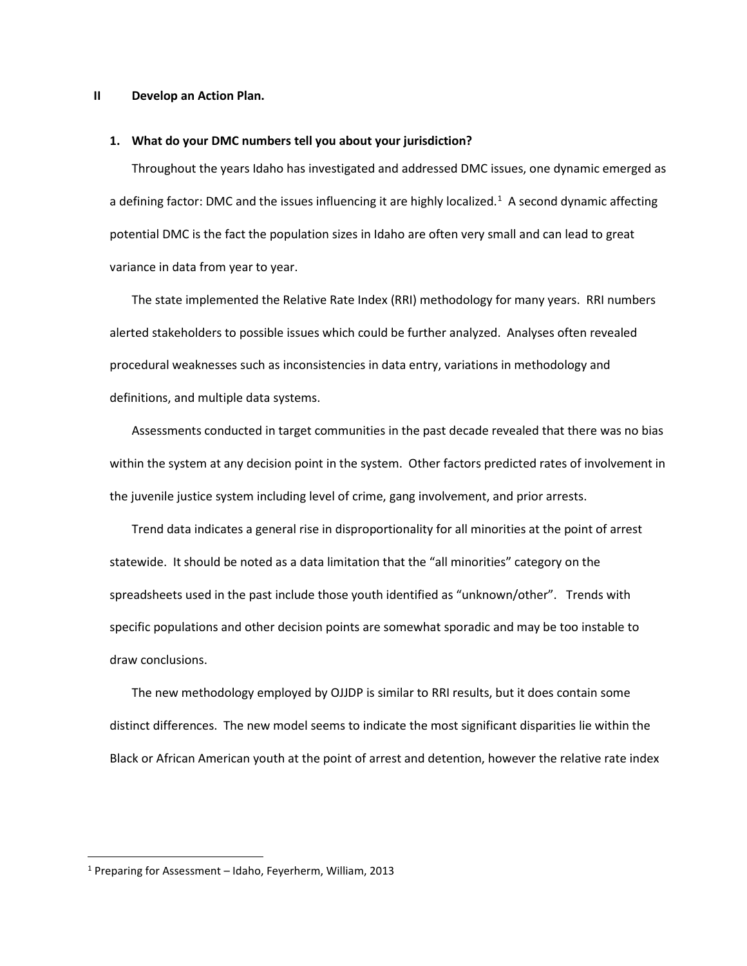#### **II Develop an Action Plan.**

#### **1. What do your DMC numbers tell you about your jurisdiction?**

Throughout the years Idaho has investigated and addressed DMC issues, one dynamic emerged as a defining factor: DMC and the issues influencing it are highly localized.<sup>[1](#page-1-0)</sup> A second dynamic affecting potential DMC is the fact the population sizes in Idaho are often very small and can lead to great variance in data from year to year.

The state implemented the Relative Rate Index (RRI) methodology for many years. RRI numbers alerted stakeholders to possible issues which could be further analyzed. Analyses often revealed procedural weaknesses such as inconsistencies in data entry, variations in methodology and definitions, and multiple data systems.

Assessments conducted in target communities in the past decade revealed that there was no bias within the system at any decision point in the system. Other factors predicted rates of involvement in the juvenile justice system including level of crime, gang involvement, and prior arrests.

Trend data indicates a general rise in disproportionality for all minorities at the point of arrest statewide. It should be noted as a data limitation that the "all minorities" category on the spreadsheets used in the past include those youth identified as "unknown/other". Trends with specific populations and other decision points are somewhat sporadic and may be too instable to draw conclusions.

The new methodology employed by OJJDP is similar to RRI results, but it does contain some distinct differences. The new model seems to indicate the most significant disparities lie within the Black or African American youth at the point of arrest and detention, however the relative rate index

<span id="page-1-0"></span> <sup>1</sup> Preparing for Assessment – Idaho, Feyerherm, William, 2013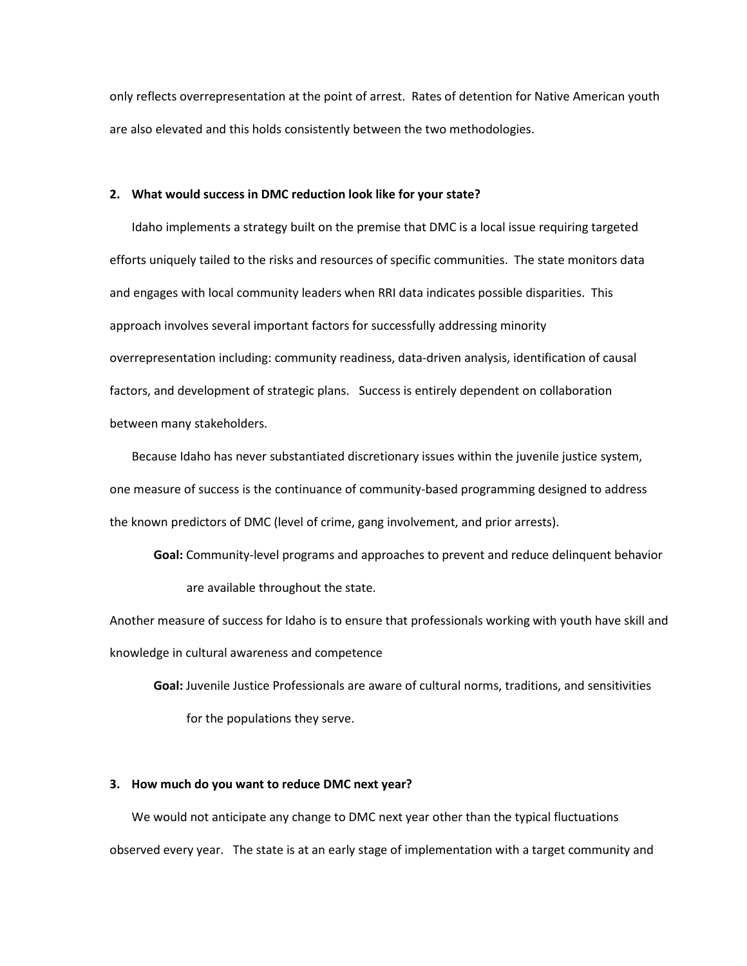only reflects overrepresentation at the point of arrest. Rates of detention for Native American youth are also elevated and this holds consistently between the two methodologies.

# **2. What would success in DMC reduction look like for your state?**

Idaho implements a strategy built on the premise that DMC is a local issue requiring targeted efforts uniquely tailed to the risks and resources of specific communities. The state monitors data and engages with local community leaders when RRI data indicates possible disparities. This approach involves several important factors for successfully addressing minority overrepresentation including: community readiness, data-driven analysis, identification of causal factors, and development of strategic plans. Success is entirely dependent on collaboration between many stakeholders.

Because Idaho has never substantiated discretionary issues within the juvenile justice system, one measure of success is the continuance of community-based programming designed to address the known predictors of DMC (level of crime, gang involvement, and prior arrests).

**Goal:** Community-level programs and approaches to prevent and reduce delinquent behavior are available throughout the state.

Another measure of success for Idaho is to ensure that professionals working with youth have skill and knowledge in cultural awareness and competence

**Goal:** Juvenile Justice Professionals are aware of cultural norms, traditions, and sensitivities for the populations they serve.

# **3. How much do you want to reduce DMC next year?**

We would not anticipate any change to DMC next year other than the typical fluctuations observed every year. The state is at an early stage of implementation with a target community and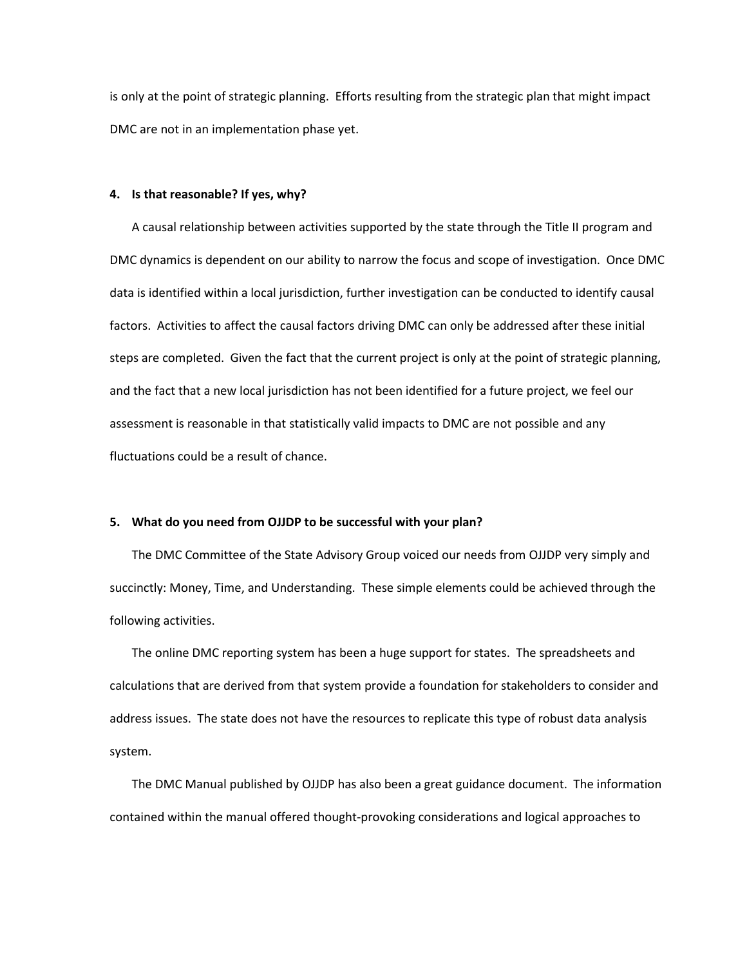is only at the point of strategic planning. Efforts resulting from the strategic plan that might impact DMC are not in an implementation phase yet.

### **4. Is that reasonable? If yes, why?**

A causal relationship between activities supported by the state through the Title II program and DMC dynamics is dependent on our ability to narrow the focus and scope of investigation. Once DMC data is identified within a local jurisdiction, further investigation can be conducted to identify causal factors. Activities to affect the causal factors driving DMC can only be addressed after these initial steps are completed. Given the fact that the current project is only at the point of strategic planning, and the fact that a new local jurisdiction has not been identified for a future project, we feel our assessment is reasonable in that statistically valid impacts to DMC are not possible and any fluctuations could be a result of chance.

## **5. What do you need from OJJDP to be successful with your plan?**

The DMC Committee of the State Advisory Group voiced our needs from OJJDP very simply and succinctly: Money, Time, and Understanding. These simple elements could be achieved through the following activities.

The online DMC reporting system has been a huge support for states. The spreadsheets and calculations that are derived from that system provide a foundation for stakeholders to consider and address issues. The state does not have the resources to replicate this type of robust data analysis system.

The DMC Manual published by OJJDP has also been a great guidance document. The information contained within the manual offered thought-provoking considerations and logical approaches to